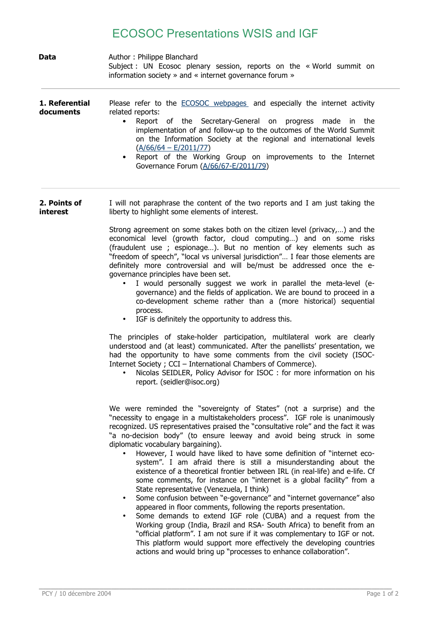## ECOSOC Presentations WSIS and IGF

| <b>Data</b>                 | Author: Philippe Blanchard<br>Subject : UN Ecosoc plenary session, reports on the « World summit on<br>information society » and « internet governance forum »                                                                                                                                                                                                                                                                                                                                                                                                                                                                                                                                                                                                                                                                                                                                                                                                                                                                                                                                                                                                                                                                                            |
|-----------------------------|-----------------------------------------------------------------------------------------------------------------------------------------------------------------------------------------------------------------------------------------------------------------------------------------------------------------------------------------------------------------------------------------------------------------------------------------------------------------------------------------------------------------------------------------------------------------------------------------------------------------------------------------------------------------------------------------------------------------------------------------------------------------------------------------------------------------------------------------------------------------------------------------------------------------------------------------------------------------------------------------------------------------------------------------------------------------------------------------------------------------------------------------------------------------------------------------------------------------------------------------------------------|
| 1. Referential<br>documents | Please refer to the <b>ECOSOC</b> webpages and especially the internet activity<br>related reports:<br>Report of the Secretary-General on<br>$\bullet$<br>progress made in<br>the<br>implementation of and follow-up to the outcomes of the World Summit<br>on the Information Society at the regional and international levels<br>$(A/66/64 - E/2011/77)$<br>Report of the Working Group on improvements to the Internet<br>$\bullet$<br>Governance Forum (A/66/67-E/2011/79)                                                                                                                                                                                                                                                                                                                                                                                                                                                                                                                                                                                                                                                                                                                                                                            |
| 2. Points of<br>interest    | I will not paraphrase the content of the two reports and I am just taking the<br>liberty to highlight some elements of interest.                                                                                                                                                                                                                                                                                                                                                                                                                                                                                                                                                                                                                                                                                                                                                                                                                                                                                                                                                                                                                                                                                                                          |
|                             | Strong agreement on some stakes both on the citizen level (privacy,) and the<br>economical level (growth factor, cloud computing) and on some risks<br>(fraudulent use ; espionage). But no mention of key elements such as<br>"freedom of speech", "local vs universal jurisdiction" I fear those elements are<br>definitely more controversial and will be/must be addressed once the e-<br>governance principles have been set.<br>I would personally suggest we work in parallel the meta-level (e-<br>governance) and the fields of application. We are bound to proceed in a<br>co-development scheme rather than a (more historical) sequential<br>process.<br>IGF is definitely the opportunity to address this.<br>$\bullet$<br>The principles of stake-holder participation, multilateral work are clearly<br>understood and (at least) communicated. After the panellists' presentation, we<br>had the opportunity to have some comments from the civil society (ISOC-<br>Internet Society ; CCI - International Chambers of Commerce).<br>Nicolas SEIDLER, Policy Advisor for ISOC : for more information on his<br>report. (seidler@isoc.org)                                                                                                |
|                             | We were reminded the "sovereignty of States" (not a surprise) and the<br>"necessity to engage in a multistakeholders process". IGF role is unanimously<br>recognized. US representatives praised the "consultative role" and the fact it was<br>"a no-decision body" (to ensure leeway and avoid being struck in some<br>diplomatic vocabulary bargaining).<br>However, I would have liked to have some definition of "internet eco-<br>system". I am afraid there is still a misunderstanding about the<br>existence of a theoretical frontier between IRL (in real-life) and e-life. Cf<br>some comments, for instance on "internet is a global facility" from a<br>State representative (Venezuela, I think)<br>Some confusion between "e-governance" and "internet governance" also<br>$\bullet$<br>appeared in floor comments, following the reports presentation.<br>Some demands to extend IGF role (CUBA) and a request from the<br>$\bullet$<br>Working group (India, Brazil and RSA- South Africa) to benefit from an<br>"official platform". I am not sure if it was complementary to IGF or not.<br>This platform would support more effectively the developing countries<br>actions and would bring up "processes to enhance collaboration". |

**\_\_\_\_\_\_\_\_\_\_\_\_\_\_\_\_\_\_\_\_\_\_\_\_\_\_\_\_\_\_\_\_\_\_\_\_\_\_\_\_\_\_\_\_\_\_\_\_\_\_\_\_\_\_\_\_\_\_\_\_\_\_\_\_\_\_\_\_\_\_\_\_\_\_\_\_\_\_\_\_\_\_\_\_\_\_\_\_**